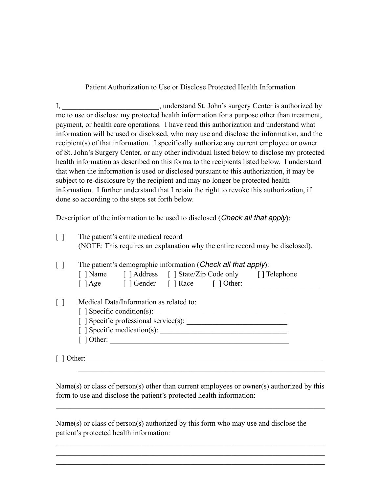Patient Authorization to Use or Disclose Protected Health Information

I, \_\_\_\_\_\_\_\_\_\_\_\_\_\_\_\_\_\_\_\_\_\_\_\_\_\_, understand St. John's surgery Center is authorized by me to use or disclose my protected health information for a purpose other than treatment, payment, or health care operations. I have read this authorization and understand what information will be used or disclosed, who may use and disclose the information, and the recipient(s) of that information. I specifically authorize any current employee or owner of St. John's Surgery Center, or any other individual listed below to disclose my protected health information as described on this forma to the recipients listed below. I understand that when the information is used or disclosed pursuant to this authorization, it may be subject to re-disclosure by the recipient and may no longer be protected health information. I further understand that I retain the right to revoke this authorization, if done so according to the steps set forth below.

Description of the information to be used to disclosed (*Check all that apply*):

| $\lceil$ $\rceil$ | The patient's entire medical record<br>(NOTE: This requires an explanation why the entire record may be disclosed). |  |  |  |
|-------------------|---------------------------------------------------------------------------------------------------------------------|--|--|--|
| $\perp$           | The patient's demographic information ( <i>Check all that apply</i> ):                                              |  |  |  |
|                   | [] Name [] Address [] State/Zip Code only [] Telephone                                                              |  |  |  |
|                   | [ ] Age [ ] Gender [ ] Race [ ] Other:                                                                              |  |  |  |
|                   | Medical Data/Information as related to:                                                                             |  |  |  |
|                   | $\lceil$ Specific condition(s):                                                                                     |  |  |  |
|                   |                                                                                                                     |  |  |  |
|                   |                                                                                                                     |  |  |  |
|                   | $\lceil$ 1 Other:                                                                                                   |  |  |  |
|                   | Other:                                                                                                              |  |  |  |

Name(s) or class of person(s) other than current employees or owner(s) authorized by this form to use and disclose the patient's protected health information:

 $\mathcal{L}_\text{max} = \mathcal{L}_\text{max} = \mathcal{L}_\text{max} = \mathcal{L}_\text{max} = \mathcal{L}_\text{max} = \mathcal{L}_\text{max} = \mathcal{L}_\text{max} = \mathcal{L}_\text{max} = \mathcal{L}_\text{max} = \mathcal{L}_\text{max} = \mathcal{L}_\text{max} = \mathcal{L}_\text{max} = \mathcal{L}_\text{max} = \mathcal{L}_\text{max} = \mathcal{L}_\text{max} = \mathcal{L}_\text{max} = \mathcal{L}_\text{max} = \mathcal{L}_\text{max} = \mathcal{$ 

 $\mathcal{L}_\text{max} = \mathcal{L}_\text{max} = \mathcal{L}_\text{max} = \mathcal{L}_\text{max} = \mathcal{L}_\text{max} = \mathcal{L}_\text{max} = \mathcal{L}_\text{max} = \mathcal{L}_\text{max} = \mathcal{L}_\text{max} = \mathcal{L}_\text{max} = \mathcal{L}_\text{max} = \mathcal{L}_\text{max} = \mathcal{L}_\text{max} = \mathcal{L}_\text{max} = \mathcal{L}_\text{max} = \mathcal{L}_\text{max} = \mathcal{L}_\text{max} = \mathcal{L}_\text{max} = \mathcal{$  $\mathcal{L}_\text{max} = \mathcal{L}_\text{max} = \mathcal{L}_\text{max} = \mathcal{L}_\text{max} = \mathcal{L}_\text{max} = \mathcal{L}_\text{max} = \mathcal{L}_\text{max} = \mathcal{L}_\text{max} = \mathcal{L}_\text{max} = \mathcal{L}_\text{max} = \mathcal{L}_\text{max} = \mathcal{L}_\text{max} = \mathcal{L}_\text{max} = \mathcal{L}_\text{max} = \mathcal{L}_\text{max} = \mathcal{L}_\text{max} = \mathcal{L}_\text{max} = \mathcal{L}_\text{max} = \mathcal{$  $\mathcal{L}_\text{max} = \mathcal{L}_\text{max} = \mathcal{L}_\text{max} = \mathcal{L}_\text{max} = \mathcal{L}_\text{max} = \mathcal{L}_\text{max} = \mathcal{L}_\text{max} = \mathcal{L}_\text{max} = \mathcal{L}_\text{max} = \mathcal{L}_\text{max} = \mathcal{L}_\text{max} = \mathcal{L}_\text{max} = \mathcal{L}_\text{max} = \mathcal{L}_\text{max} = \mathcal{L}_\text{max} = \mathcal{L}_\text{max} = \mathcal{L}_\text{max} = \mathcal{L}_\text{max} = \mathcal{$ 

 $\mathcal{L}_\text{max} = \mathcal{L}_\text{max} = \mathcal{L}_\text{max} = \mathcal{L}_\text{max} = \mathcal{L}_\text{max} = \mathcal{L}_\text{max} = \mathcal{L}_\text{max} = \mathcal{L}_\text{max} = \mathcal{L}_\text{max} = \mathcal{L}_\text{max} = \mathcal{L}_\text{max} = \mathcal{L}_\text{max} = \mathcal{L}_\text{max} = \mathcal{L}_\text{max} = \mathcal{L}_\text{max} = \mathcal{L}_\text{max} = \mathcal{L}_\text{max} = \mathcal{L}_\text{max} = \mathcal{$ 

Name(s) or class of person(s) authorized by this form who may use and disclose the patient's protected health information: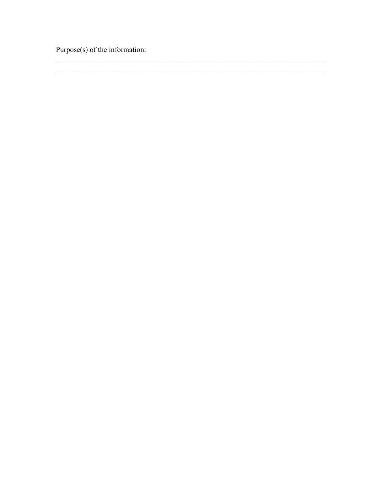Purpose(s) of the information: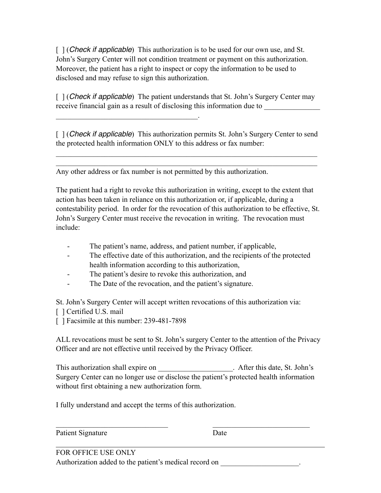[ ] (*Check if applicable*) This authorization is to be used for our own use, and St. John's Surgery Center will not condition treatment or payment on this authorization. Moreover, the patient has a right to inspect or copy the information to be used to disclosed and may refuse to sign this authorization.

[ ] (*Check if applicable*) The patient understands that St. John's Surgery Center may receive financial gain as a result of disclosing this information due to

[  $\vert$  (*Check if applicable*) This authorization permits St. John's Surgery Center to send the protected health information ONLY to this address or fax number:

 $\mathcal{L}_\text{max}$  and  $\mathcal{L}_\text{max}$  and  $\mathcal{L}_\text{max}$  and  $\mathcal{L}_\text{max}$  and  $\mathcal{L}_\text{max}$  and  $\mathcal{L}_\text{max}$  $\mathcal{L}_\text{max}$  and  $\mathcal{L}_\text{max}$  and  $\mathcal{L}_\text{max}$  and  $\mathcal{L}_\text{max}$  and  $\mathcal{L}_\text{max}$  and  $\mathcal{L}_\text{max}$ 

Any other address or fax number is not permitted by this authorization.

 $\mathcal{L}_\text{max}$  and  $\mathcal{L}_\text{max}$  and  $\mathcal{L}_\text{max}$  and  $\mathcal{L}_\text{max}$ 

The patient had a right to revoke this authorization in writing, except to the extent that action has been taken in reliance on this authorization or, if applicable, during a contestability period. In order for the revocation of this authorization to be effective, St. John's Surgery Center must receive the revocation in writing. The revocation must include:

- The patient's name, address, and patient number, if applicable,
- The effective date of this authorization, and the recipients of the protected health information according to this authorization,
- The patient's desire to revoke this authorization, and
- The Date of the revocation, and the patient's signature.

St. John's Surgery Center will accept written revocations of this authorization via:

- [ ] Certified U.S. mail
- [ ] Facsimile at this number: 239-481-7898

ALL revocations must be sent to St. John's surgery Center to the attention of the Privacy Officer and are not effective until received by the Privacy Officer.

This authorization shall expire on \_\_\_\_\_\_\_\_\_\_\_\_\_\_\_\_\_\_\_\_\_\_. After this date, St. John's Surgery Center can no longer use or disclose the patient's protected health information without first obtaining a new authorization form.

 $\mathcal{L}_\text{max}$  , and the contribution of the contribution of the contribution of the contribution of the contribution of the contribution of the contribution of the contribution of the contribution of the contribution of t

I fully understand and accept the terms of this authorization.

Patient Signature Date

FOR OFFICE USE ONLY Authorization added to the patient's medical record on  $\blacksquare$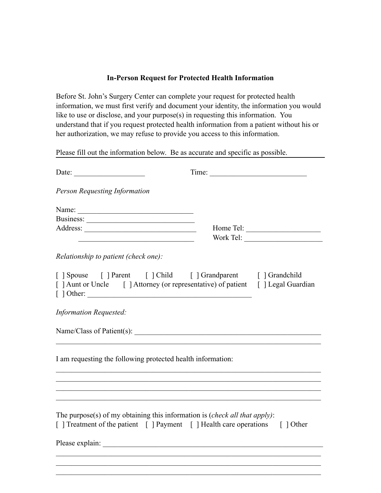## **In-Person Request for Protected Health Information**

Before St. John's Surgery Center can complete your request for protected health information, we must first verify and document your identity, the information you would like to use or disclose, and your purpose(s) in requesting this information. You understand that if you request protected health information from a patient without his or her authorization, we may refuse to provide you access to this information.

Please fill out the information below. Be as accurate and specific as possible.

|                                                                                                                                                                       | Time: |           |  |  |
|-----------------------------------------------------------------------------------------------------------------------------------------------------------------------|-------|-----------|--|--|
| <b>Person Requesting Information</b>                                                                                                                                  |       |           |  |  |
| Name:                                                                                                                                                                 |       | Home Tel: |  |  |
| Relationship to patient (check one):                                                                                                                                  |       |           |  |  |
| [   Spouse     Parent     Child     Grandparent     Grandchild<br>[ ] Aunt or Uncle [ ] Attorney (or representative) of patient [ ] Legal Guardian<br>$\lceil$ Dther: |       |           |  |  |
| <b>Information Requested:</b>                                                                                                                                         |       |           |  |  |
|                                                                                                                                                                       |       |           |  |  |
| I am requesting the following protected health information:                                                                                                           |       |           |  |  |
| ,我们也不能在这里的人,我们也不能在这里的人,我们也不能在这里的人,我们也不能在这里的人,我们也不能在这里的人,我们也不能在这里的人,我们也不能在这里的人,我们也                                                                                     |       |           |  |  |
| The purpose(s) of my obtaining this information is ( <i>check all that apply</i> ):<br>[ ] Treatment of the patient [ ] Payment [ ] Health care operations [ ] Other  |       |           |  |  |
|                                                                                                                                                                       |       |           |  |  |
|                                                                                                                                                                       |       |           |  |  |
|                                                                                                                                                                       |       |           |  |  |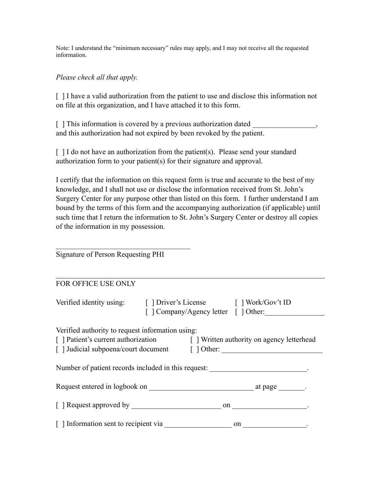Note: I understand the "minimum necessary" rules may apply, and I may not receive all the requested information.

## *Please check all that apply.*

[ ] I have a valid authorization from the patient to use and disclose this information not on file at this organization, and I have attached it to this form.

[ ] This information is covered by a previous authorization dated and this authorization had not expired by been revoked by the patient.

[] I do not have an authorization from the patient(s). Please send your standard authorization form to your patient(s) for their signature and approval.

I certify that the information on this request form is true and accurate to the best of my knowledge, and I shall not use or disclose the information received from St. John's Surgery Center for any purpose other than listed on this form. I further understand I am bound by the terms of this form and the accompanying authorization (if applicable) until such time that I return the information to St. John's Surgery Center or destroy all copies of the information in my possession.

Signature of Person Requesting PHI

 $\mathcal{L}_\text{max}$  , where  $\mathcal{L}_\text{max}$  and  $\mathcal{L}_\text{max}$  and  $\mathcal{L}_\text{max}$ 

## FOR OFFICE USE ONLY

| Verified identity using: [ ] Driver's License [ ] Work/Gov't ID                                                                                                                                                        |  | [ ] Company/Agency letter [ ] Other: |  |  |  |  |
|------------------------------------------------------------------------------------------------------------------------------------------------------------------------------------------------------------------------|--|--------------------------------------|--|--|--|--|
| Verified authority to request information using:<br>[ ] Patient's current authorization [ ] Written authority on agency letterhead<br>[] Judicial subpoena/court document [] Other: __________________________________ |  |                                      |  |  |  |  |
| Number of patient records included in this request:                                                                                                                                                                    |  |                                      |  |  |  |  |
|                                                                                                                                                                                                                        |  |                                      |  |  |  |  |
|                                                                                                                                                                                                                        |  |                                      |  |  |  |  |
| [ ] Information sent to recipient via                                                                                                                                                                                  |  | on                                   |  |  |  |  |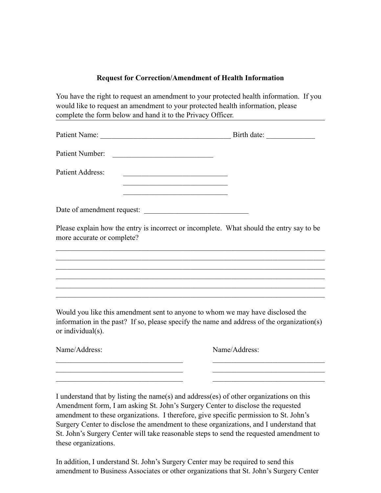## **Request for Correction/Amendment of Health Information**

You have the right to request an amendment to your protected health information. If you would like to request an amendment to your protected health information, please complete the form below and hand it to the Privacy Officer.

| Patient Number:                                                     | <u> 1990 - Johann John Stoff, mars and de Brasilian (b. 1980)</u>                                                                                                            |
|---------------------------------------------------------------------|------------------------------------------------------------------------------------------------------------------------------------------------------------------------------|
| Patient Address:                                                    | <u> 1989 - Johann Barbara, martxa amerikan personal (h. 1989).</u>                                                                                                           |
|                                                                     | the control of the control of the control of the control of the control of                                                                                                   |
|                                                                     |                                                                                                                                                                              |
| more accurate or complete?                                          | Please explain how the entry is incorrect or incomplete. What should the entry say to be                                                                                     |
|                                                                     |                                                                                                                                                                              |
|                                                                     |                                                                                                                                                                              |
|                                                                     |                                                                                                                                                                              |
|                                                                     |                                                                                                                                                                              |
| or individual(s).                                                   | Would you like this amendment sent to anyone to whom we may have disclosed the<br>information in the past? If so, please specify the name and address of the organization(s) |
| Name/Address:                                                       | Name/Address:                                                                                                                                                                |
| <u> 1989 - Johann John Stein, market fransk politiker (d. 1989)</u> |                                                                                                                                                                              |
|                                                                     |                                                                                                                                                                              |
|                                                                     |                                                                                                                                                                              |

I understand that by listing the name(s) and address(es) of other organizations on this Amendment form, I am asking St. John's Surgery Center to disclose the requested amendment to these organizations. I therefore, give specific permission to St. John's Surgery Center to disclose the amendment to these organizations, and I understand that St. John's Surgery Center will take reasonable steps to send the requested amendment to these organizations.

In addition, I understand St. John's Surgery Center may be required to send this amendment to Business Associates or other organizations that St. John's Surgery Center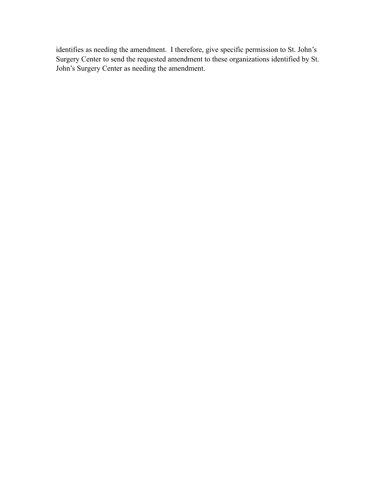identifies as needing the amendment. I therefore, give specific permission to St. John's Surgery Center to send the requested amendment to these organizations identified by St. John's Surgery Center as needing the amendment.